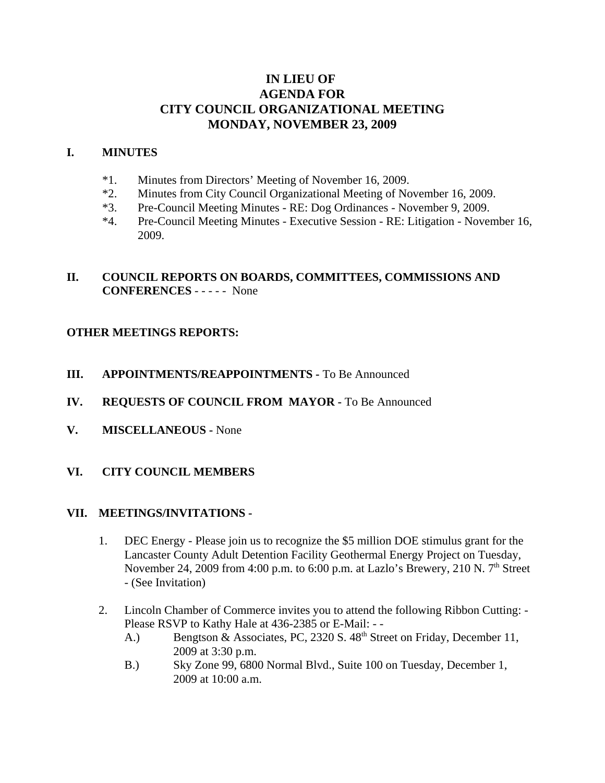# **IN LIEU OF AGENDA FOR CITY COUNCIL ORGANIZATIONAL MEETING MONDAY, NOVEMBER 23, 2009**

### **I. MINUTES**

- \*1. Minutes from Directors' Meeting of November 16, 2009.
- \*2. Minutes from City Council Organizational Meeting of November 16, 2009.
- \*3. Pre-Council Meeting Minutes RE: Dog Ordinances November 9, 2009.
- \*4. Pre-Council Meeting Minutes Executive Session RE: Litigation November 16, 2009.

## **II. COUNCIL REPORTS ON BOARDS, COMMITTEES, COMMISSIONS AND CONFERENCES** - - - - - None

### **OTHER MEETINGS REPORTS:**

**III. APPOINTMENTS/REAPPOINTMENTS -** To Be Announced

### **IV. REQUESTS OF COUNCIL FROM MAYOR -** To Be Announced

**V. MISCELLANEOUS -** None

### **VI. CITY COUNCIL MEMBERS**

#### **VII. MEETINGS/INVITATIONS -**

- 1. DEC Energy Please join us to recognize the \$5 million DOE stimulus grant for the Lancaster County Adult Detention Facility Geothermal Energy Project on Tuesday, November 24, 2009 from 4:00 p.m. to 6:00 p.m. at Lazlo's Brewery, 210 N.  $7<sup>th</sup>$  Street - (See Invitation)
- 2. Lincoln Chamber of Commerce invites you to attend the following Ribbon Cutting: Please RSVP to Kathy Hale at 436-2385 or E-Mail: - -
	- A.) Bengtson & Associates, PC, 2320 S. 48<sup>th</sup> Street on Friday, December 11, 2009 at 3:30 p.m.
	- B.) Sky Zone 99, 6800 Normal Blvd., Suite 100 on Tuesday, December 1, 2009 at 10:00 a.m.